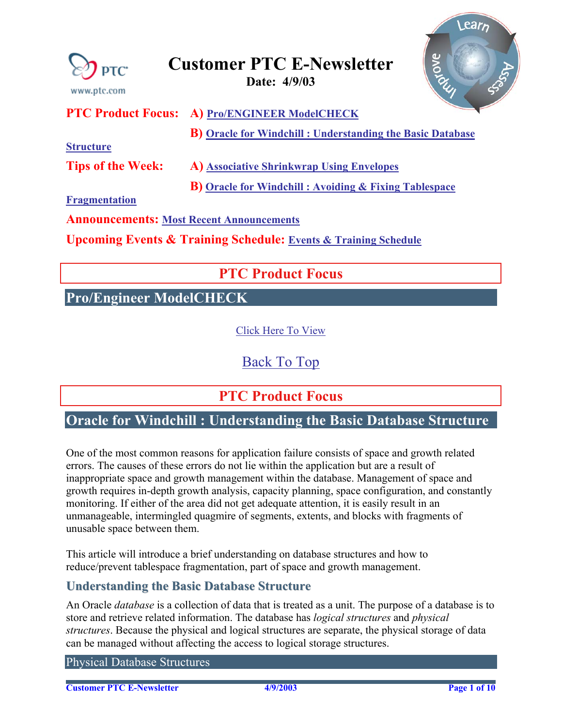<span id="page-0-0"></span>

**[Fragmentation](#page-5-0)**

**Announcements: [Most Recent Announcements](#page-7-0)** 

**Upcoming Events & Training Schedule: [Events & Training Schedule](#page-9-0)**

# **PTC Product Focus**

## **Pro/Engineer ModelCHECK**

[Click Here To View](http://www.ptc-mss.com/Tutorial/Tip_Tech/Customer PTC E-Newsletter 4-9-2003_A.pdf)

[Back To Top](#page-0-0)

**PTC Product Focus** 

# **Oracle for Windchill : Understanding the Basic Database Structure**

One of the most common reasons for application failure consists of space and growth related errors. The causes of these errors do not lie within the application but are a result of inappropriate space and growth management within the database. Management of space and growth requires in-depth growth analysis, capacity planning, space configuration, and constantly monitoring. If either of the area did not get adequate attention, it is easily result in an unmanageable, intermingled quagmire of segments, extents, and blocks with fragments of unusable space between them.

This article will introduce a brief understanding on database structures and how to reduce/prevent tablespace fragmentation, part of space and growth management.

## **Understanding the Basic Database Structure**

An Oracle *database* is a collection of data that is treated as a unit. The purpose of a database is to store and retrieve related information. The database has *logical structures* and *physical structures*. Because the physical and logical structures are separate, the physical storage of data can be managed without affecting the access to logical storage structures.

Physical Database Structures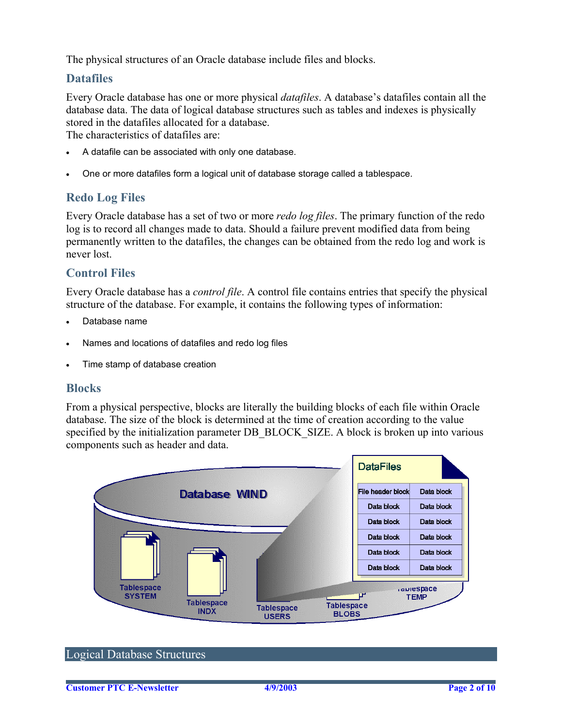The physical structures of an Oracle database include files and blocks.

## **Datafiles**

Every Oracle database has one or more physical *datafiles*. A database's datafiles contain all the database data. The data of logical database structures such as tables and indexes is physically stored in the datafiles allocated for a database.

The characteristics of datafiles are:

- A datafile can be associated with only one database.
- One or more datafiles form a logical unit of database storage called a tablespace.

### **Redo Log Files**

Every Oracle database has a set of two or more *redo log files*. The primary function of the redo log is to record all changes made to data. Should a failure prevent modified data from being permanently written to the datafiles, the changes can be obtained from the redo log and work is never lost.

#### **Control Files**

Every Oracle database has a *control file*. A control file contains entries that specify the physical structure of the database. For example, it contains the following types of information:

- Database name
- Names and locations of datafiles and redo log files
- Time stamp of database creation

#### **Blocks**

From a physical perspective, blocks are literally the building blocks of each file within Oracle database. The size of the block is determined at the time of creation according to the value specified by the initialization parameter DB\_BLOCK\_SIZE. A block is broken up into various components such as header and data.



#### Logical Database Structures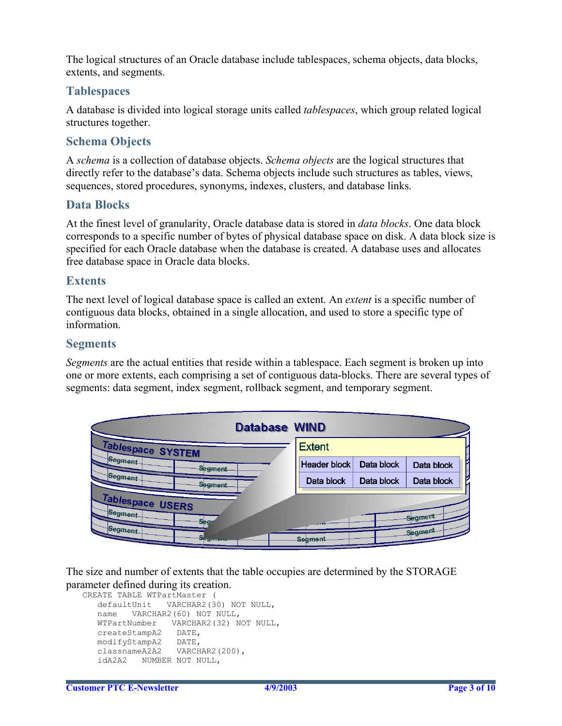The logical structures of an Oracle database include tablespaces, schema objects, data blocks, extents, and segments.

#### **Tablespaces**

A database is divided into logical storage units called *tablespaces*, which group related logical structures together.

## **Schema Objects**

A *schema* is a collection of database objects. *Schema objects* are the logical structures that directly refer to the database's data. Schema objects include such structures as tables, views, sequences, stored procedures, synonyms, indexes, clusters, and database links.

#### **Data Blocks**

At the finest level of granularity, Oracle database data is stored in *data blocks*. One data block corresponds to a specific number of bytes of physical database space on disk. A data block size is specified for each Oracle database when the database is created. A database uses and allocates free database space in Oracle data blocks.

#### **Extents**

The next level of logical database space is called an extent. An *extent* is a specific number of contiguous data blocks, obtained in a single allocation, and used to store a specific type of information.

#### **Segments**

*Segments* are the actual entities that reside within a tablespace. Each segment is broken up into one or more extents, each comprising a set of contiguous data-blocks. There are several types of segments: data segment, index segment, rollback segment, and temporary segment.

| <b>Database WIND</b>                                             |                     |            |                    |
|------------------------------------------------------------------|---------------------|------------|--------------------|
| Tablespace SYSTEM                                                | <b>Extent</b>       |            |                    |
| Segment<br>Segment                                               | <b>Header block</b> | Data block | Data block         |
| Segment<br><b>Segment</b>                                        | Data block          | Data block | Data block         |
| Tablespace USERS<br>Segment<br>Segr<br>Segment<br><b>ESHIRER</b> | Segment             |            | Segment<br>Segment |

The size and number of extents that the table occupies are determined by the STORAGE parameter defined during its creation.

```
CREATE TABLE WTPartMaster ( 
   defaultUnit VARCHAR2(30) NOT NULL, 
   name VARCHAR2(60) NOT NULL, 
   WTPartNumber VARCHAR2(32) NOT NULL, 
   createStampA2 DATE, 
   modifyStampA2 DATE, 
   classnameA2A2 VARCHAR2(200), 
   idA2A2 NUMBER NOT NULL,
```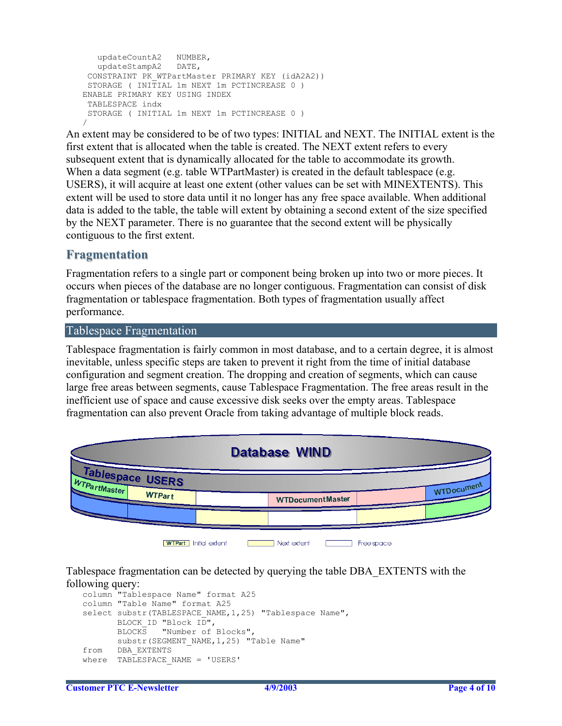```
 updateCountA2 NUMBER, 
   updateStampA2 DATE, 
 CONSTRAINT PK_WTPartMaster PRIMARY KEY (idA2A2)) 
 STORAGE ( INITIAL 1m NEXT 1m PCTINCREASE 0 ) 
ENABLE PRIMARY KEY USING INDEX 
 TABLESPACE indx 
  STORAGE ( INITIAL 1m NEXT 1m PCTINCREASE 0 ) 
/
```
An extent may be considered to be of two types: INITIAL and NEXT. The INITIAL extent is the first extent that is allocated when the table is created. The NEXT extent refers to every subsequent extent that is dynamically allocated for the table to accommodate its growth. When a data segment (e.g. table WTPartMaster) is created in the default tablespace (e.g. USERS), it will acquire at least one extent (other values can be set with MINEXTENTS). This extent will be used to store data until it no longer has any free space available. When additional data is added to the table, the table will extent by obtaining a second extent of the size specified by the NEXT parameter. There is no guarantee that the second extent will be physically contiguous to the first extent.

### **Fragmentation**

Fragmentation refers to a single part or component being broken up into two or more pieces. It occurs when pieces of the database are no longer contiguous. Fragmentation can consist of disk fragmentation or tablespace fragmentation. Both types of fragmentation usually affect performance.

#### Tablespace Fragmentation

Tablespace fragmentation is fairly common in most database, and to a certain degree, it is almost inevitable, unless specific steps are taken to prevent it right from the time of initial database configuration and segment creation. The dropping and creation of segments, which can cause large free areas between segments, cause Tablespace Fragmentation. The free areas result in the inefficient use of space and cause excessive disk seeks over the empty areas. Tablespace fragmentation can also prevent Oracle from taking advantage of multiple block reads.



Tablespace fragmentation can be detected by querying the table DBA\_EXTENTS with the following query:

```
column "Tablespace Name" format A25 
column "Table Name" format A25 
select substr(TABLESPACE NAME, 1, 25) "Tablespace Name",
      BLOCK ID "Block ID",
      BLOCKS "Number of Blocks", 
     substr(SEGMENT_NAME, 1, 25) "Table Name"
from DBA_EXTENTS 
where TABLESPACE NAME = 'USERS'
```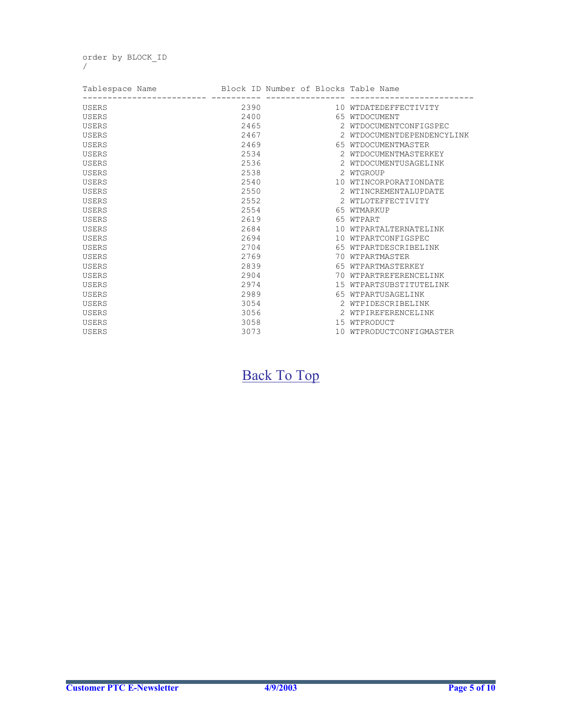order by BLOCK\_ID /

| Tablespace Name Block ID Number of Blocks Table Name |      |                            |  |
|------------------------------------------------------|------|----------------------------|--|
| <b>USERS</b>                                         | 2390 | 10 WTDATEDEFFECTIVITY      |  |
| USERS                                                | 2400 | 65 WTDOCUMENT              |  |
| USERS                                                | 2465 | 2 WTDOCUMENTCONFIGSPEC     |  |
| <b>USERS</b>                                         | 2467 | 2 WTDOCUMENTDEPENDENCYLINK |  |
| <b>USERS</b>                                         | 2469 | 65 WTDOCUMENTMASTER        |  |
| <b>USERS</b>                                         | 2534 | 2 WTDOCUMENTMASTERKEY      |  |
| <b>USERS</b>                                         | 2536 | 2 WTDOCUMENTUSAGELINK      |  |
| <b>USERS</b>                                         | 2538 | 2 WTGROUP                  |  |
| USERS                                                | 2540 | 10 WTINCORPORATIONDATE     |  |
| USERS                                                | 2550 | 2 WTINCREMENTALUPDATE      |  |
| <b>USERS</b>                                         | 2552 | 2 WTLOTEFFECTIVITY         |  |
| USERS                                                | 2554 | 65 WTMARKUP                |  |
| <b>USERS</b>                                         | 2619 | 65 WTPART                  |  |
| <b>USERS</b>                                         | 2684 | 10 WTPARTALTERNATELINK     |  |
| <b>USERS</b>                                         | 2694 | 10 WTPARTCONFIGSPEC        |  |
| USERS                                                | 2704 | 65 WTPARTDESCRIBELINK      |  |
| <b>USERS</b>                                         | 2769 | 70 WTPARTMASTER            |  |
| <b>USERS</b>                                         | 2839 | 65 WTPARTMASTERKEY         |  |
| USERS                                                | 2904 | 70 WTPARTREFERENCELINK     |  |
| USERS                                                | 2974 | 15 WTPARTSUBSTITUTELINK    |  |
| <b>USERS</b>                                         | 2989 | 65 WTPARTUSAGELINK         |  |
| <b>USERS</b>                                         | 3054 | 2 WTPIDESCRIBELINK         |  |
| USERS                                                | 3056 | 2 WTPIREFERENCELINK        |  |
| USERS                                                | 3058 | 15 WTPRODUCT               |  |
| <b>USERS</b>                                         | 3073 | 10 WTPRODUCTCONFIGMASTER   |  |

[Back To Top](#page-0-0)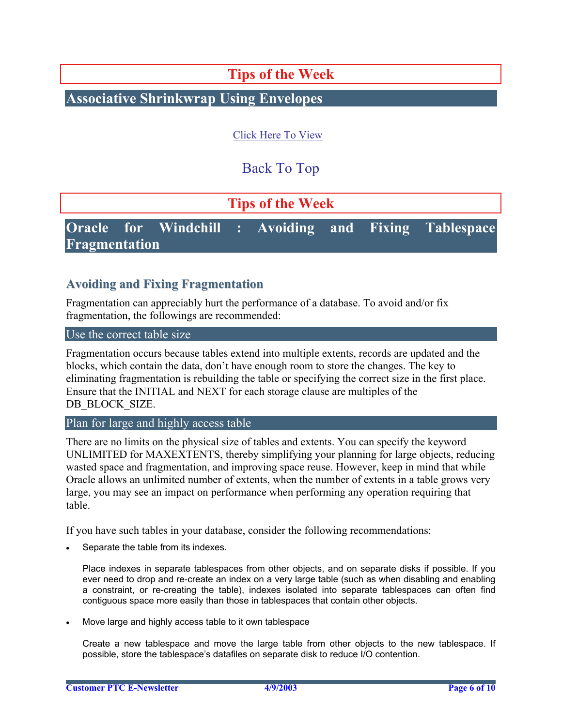**Tips of the Week**

## <span id="page-5-0"></span>**Associative Shrinkwrap Using Envelopes**

[Click Here To View](http://www.ptc-mss.com/Tutorial/Tip_Tech/Customer PTC E-Newsletter 4-9-2003_A.pdf)

[Back To Top](#page-0-0)

**Tips of the Week**

**Oracle for Windchill : Avoiding and Fixing Tablespace Fragmentation** 

## **Avoiding and Fixing Fragmentation**

Fragmentation can appreciably hurt the performance of a database. To avoid and/or fix fragmentation, the followings are recommended:

#### Use the correct table size

Fragmentation occurs because tables extend into multiple extents, records are updated and the blocks, which contain the data, don't have enough room to store the changes. The key to eliminating fragmentation is rebuilding the table or specifying the correct size in the first place. Ensure that the INITIAL and NEXT for each storage clause are multiples of the DB\_BLOCK\_SIZE.

Plan for large and highly access table

There are no limits on the physical size of tables and extents. You can specify the keyword UNLIMITED for MAXEXTENTS, thereby simplifying your planning for large objects, reducing wasted space and fragmentation, and improving space reuse. However, keep in mind that while Oracle allows an unlimited number of extents, when the number of extents in a table grows very large, you may see an impact on performance when performing any operation requiring that table.

If you have such tables in your database, consider the following recommendations:

Separate the table from its indexes.

Place indexes in separate tablespaces from other objects, and on separate disks if possible. If you ever need to drop and re-create an index on a very large table (such as when disabling and enabling a constraint, or re-creating the table), indexes isolated into separate tablespaces can often find contiguous space more easily than those in tablespaces that contain other objects.

• Move large and highly access table to it own tablespace

Create a new tablespace and move the large table from other objects to the new tablespace. If possible, store the tablespace's datafiles on separate disk to reduce I/O contention.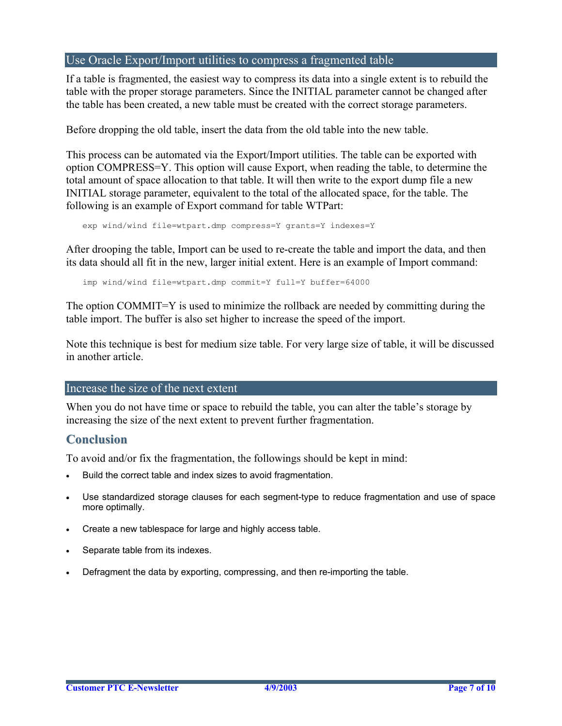#### Use Oracle Export/Import utilities to compress a fragmented table

If a table is fragmented, the easiest way to compress its data into a single extent is to rebuild the table with the proper storage parameters. Since the INITIAL parameter cannot be changed after the table has been created, a new table must be created with the correct storage parameters.

Before dropping the old table, insert the data from the old table into the new table.

This process can be automated via the Export/Import utilities. The table can be exported with option COMPRESS=Y. This option will cause Export, when reading the table, to determine the total amount of space allocation to that table. It will then write to the export dump file a new INITIAL storage parameter, equivalent to the total of the allocated space, for the table. The following is an example of Export command for table WTPart:

```
exp wind/wind file=wtpart.dmp compress=Y grants=Y indexes=Y
```
After drooping the table, Import can be used to re-create the table and import the data, and then its data should all fit in the new, larger initial extent. Here is an example of Import command:

imp wind/wind file=wtpart.dmp commit=Y full=Y buffer=64000

The option COMMIT=Y is used to minimize the rollback are needed by committing during the table import. The buffer is also set higher to increase the speed of the import.

Note this technique is best for medium size table. For very large size of table, it will be discussed in another article.

#### Increase the size of the next extent

When you do not have time or space to rebuild the table, you can alter the table's storage by increasing the size of the next extent to prevent further fragmentation.

## **Conclusion**

To avoid and/or fix the fragmentation, the followings should be kept in mind:

- Build the correct table and index sizes to avoid fragmentation.
- Use standardized storage clauses for each segment-type to reduce fragmentation and use of space more optimally.
- Create a new tablespace for large and highly access table.
- Separate table from its indexes.
- Defragment the data by exporting, compressing, and then re-importing the table.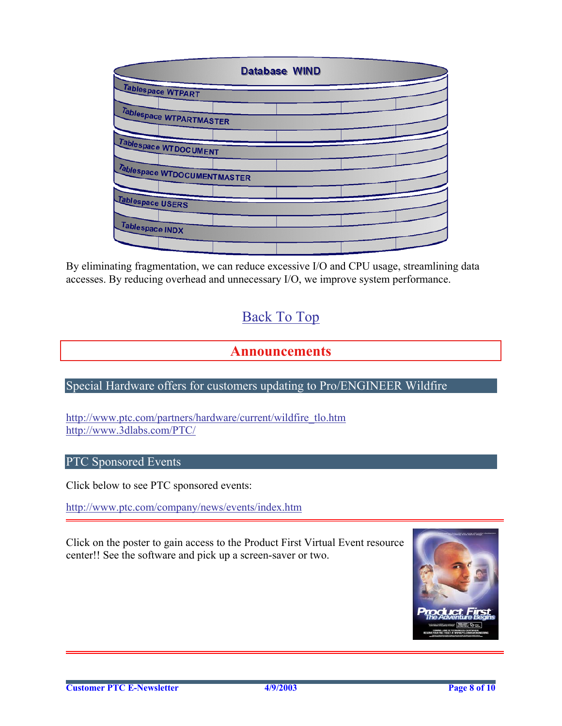<span id="page-7-0"></span>

|                             | <b>Database WIND</b> |  |
|-----------------------------|----------------------|--|
| Tablespace WTPART           |                      |  |
| Tablespace WTPARTMASTER     |                      |  |
|                             |                      |  |
| Tablespace WTDOCUMENT       |                      |  |
| Tablespace WTDOCUMENTMASTER |                      |  |
| Tablespace USERS            |                      |  |
|                             |                      |  |
| Tablespace INDX             |                      |  |
|                             |                      |  |

By eliminating fragmentation, we can reduce excessive I/O and CPU usage, streamlining data accesses. By reducing overhead and unnecessary I/O, we improve system performance.

# [Back To Top](#page-0-0)

## **Announcements**

## Special Hardware offers for customers updating to Pro/ENGINEER Wildfire

[http://www.ptc.com/partners/hardware/current/wildfire\\_tlo.htm](http://www.ptc.com/partners/hardware/current/wildfire_tlo.htm)  <http://www.3dlabs.com/PTC/>

## PTC Sponsored Events

Click below to see PTC sponsored events:

<http://www.ptc.com/company/news/events/index.htm>

Click on the poster to gain access to the Product First Virtual Event resource center!! See the software and pick up a screen-saver or two.

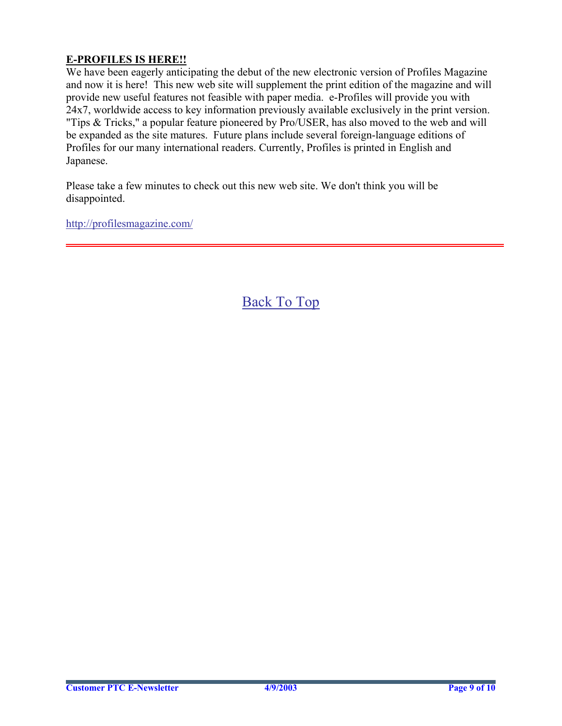## **E-PROFILES IS HERE!!**

We have been eagerly anticipating the debut of the new electronic version of Profiles Magazine and now it is here! This new web site will supplement the print edition of the magazine and will provide new useful features not feasible with paper media. e-Profiles will provide you with 24x7, worldwide access to key information previously available exclusively in the print version. "Tips & Tricks," a popular feature pioneered by Pro/USER, has also moved to the web and will be expanded as the site matures. Future plans include several foreign-language editions of Profiles for our many international readers. Currently, Profiles is printed in English and Japanese.

Please take a few minutes to check out this new web site. We don't think you will be disappointed.

<http://profilesmagazine.com/>

[Back To Top](#page-0-0)